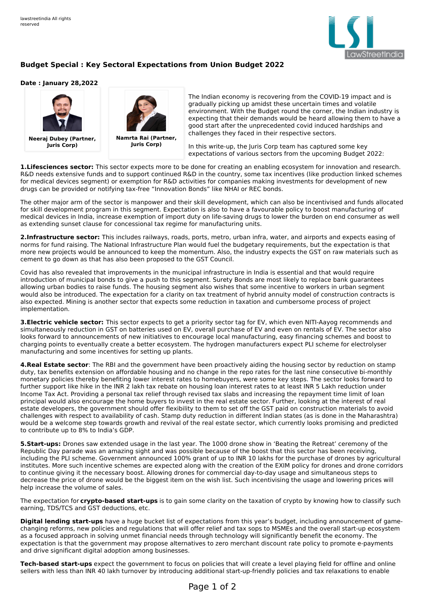

## **Budget Special : Key Sectoral Expectations from Union Budget 2022**

## **Date : January 28,2022**



**Neeraj Dubey (Partner, Juris Corp)**



**Juris Corp)**

The Indian economy is recovering from the COVID-19 impact and is gradually picking up amidst these uncertain times and volatile environment. With the Budget round the corner, the Indian industry is expecting that their demands would be heard allowing them to have a good start after the unprecedented covid induced hardships and challenges they faced in their respective sectors.

In this write-up, the Juris Corp team has captured some key expectations of various sectors from the upcoming Budget 2022:

**1.Lifesciences sector:** This sector expects more to be done for creating an enabling ecosystem for innovation and research. R&D needs extensive funds and to support continued R&D in the country, some tax incentives (like production linked schemes for medical devices segment) or exemption for R&D activities for companies making investments for development of new drugs can be provided or notifying tax-free "Innovation Bonds" like NHAI or REC bonds.

The other major arm of the sector is manpower and their skill development, which can also be incentivised and funds allocated for skill development program in this segment. Expectation is also to have a favourable policy to boost manufacturing of medical devices in India, increase exemption of import duty on life-saving drugs to lower the burden on end consumer as well as extending sunset clause for concessional tax regime for manufacturing units.

**2.Infrastructure sector:** This includes railways, roads, ports, metro, urban infra, water, and airports and expects easing of norms for fund raising. The National Infrastructure Plan would fuel the budgetary requirements, but the expectation is that more new projects would be announced to keep the momentum. Also, the industry expects the GST on raw materials such as cement to go down as that has also been proposed to the GST Council.

Covid has also revealed that improvements in the municipal infrastructure in India is essential and that would require introduction of municipal bonds to give a push to this segment. Surety Bonds are most likely to replace bank guarantees allowing urban bodies to raise funds. The housing segment also wishes that some incentive to workers in urban segment would also be introduced. The expectation for a clarity on tax treatment of hybrid annuity model of construction contracts is also expected. Mining is another sector that expects some reduction in taxation and cumbersome process of project implementation.

**3.Electric vehicle sector:** This sector expects to get a priority sector tag for EV, which even NITI-Aayog recommends and simultaneously reduction in GST on batteries used on EV, overall purchase of EV and even on rentals of EV. The sector also looks forward to announcements of new initiatives to encourage local manufacturing, easy financing schemes and boost to charging points to eventually create a better ecosystem. The hydrogen manufacturers expect PLI scheme for electrolyser manufacturing and some incentives for setting up plants.

**4.Real Estate sector**: The RBI and the government have been proactively aiding the housing sector by reduction on stamp duty, tax benefits extension on affordable housing and no change in the repo rates for the last nine consecutive bi-monthly monetary policies thereby benefiting lower interest rates to homebuyers, were some key steps. The sector looks forward to further support like hike in the INR 2 lakh tax rebate on housing loan interest rates to at least INR 5 Lakh reduction under Income Tax Act. Providing a personal tax relief through revised tax slabs and increasing the repayment time limit of loan principal would also encourage the home buyers to invest in the real estate sector. Further, looking at the interest of real estate developers, the government should offer flexibility to them to set off the GST paid on construction materials to avoid challenges with respect to availability of cash. Stamp duty reduction in different Indian states (as is done in the Maharashtra) would be a welcome step towards growth and revival of the real estate sector, which currently looks promising and predicted to contribute up to 8% to India's GDP.

**5.Start-ups:** Drones saw extended usage in the last year. The 1000 drone show in 'Beating the Retreat' ceremony of the Republic Day parade was an amazing sight and was possible because of the boost that this sector has been receiving, including the PLI scheme. Government announced 100% grant of up to INR 10 lakhs for the purchase of drones by agricultural institutes. More such incentive schemes are expected along with the creation of the EXIM policy for drones and drone corridors to continue giving it the necessary boost. Allowing drones for commercial day-to-day usage and simultaneous steps to decrease the price of drone would be the biggest item on the wish list. Such incentivising the usage and lowering prices will help increase the volume of sales.

The expectation for **crypto-based start-ups** is to gain some clarity on the taxation of crypto by knowing how to classify such earning, TDS/TCS and GST deductions, etc.

**Digital lending start-ups** have a huge bucket list of expectations from this year's budget, including announcement of gamechanging reforms, new policies and regulations that will offer relief and tax sops to MSMEs and the overall start-up ecosystem as a focused approach in solving unmet financial needs through technology will significantly benefit the economy. The expectation is that the government may propose alternatives to zero merchant discount rate policy to promote e-payments and drive significant digital adoption among businesses.

**Tech-based start-ups** expect the government to focus on policies that will create a level playing field for offline and online sellers with less than INR 40 lakh turnover by introducing additional start-up-friendly policies and tax relaxations to enable